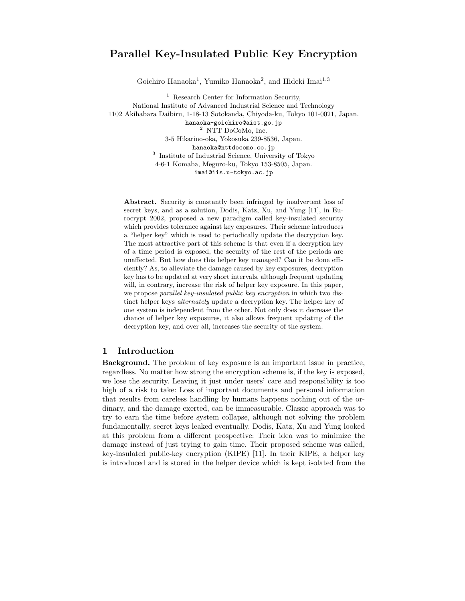# Parallel Key-Insulated Public Key Encryption

Goichiro Hanaoka<sup>1</sup>, Yumiko Hanaoka<sup>2</sup>, and Hideki Imai<sup>1,3</sup>

 $1$  Research Center for Information Security, National Institute of Advanced Industrial Science and Technology 1102 Akihabara Daibiru, 1-18-13 Sotokanda, Chiyoda-ku, Tokyo 101-0021, Japan. hanaoka-goichiro@aist.go.jp <sup>2</sup> NTT DoCoMo, Inc. 3-5 Hikarino-oka, Yokosuka 239-8536, Japan. hanaoka@nttdocomo.co.jp <sup>3</sup> Institute of Industrial Science, University of Tokyo 4-6-1 Komaba, Meguro-ku, Tokyo 153-8505, Japan. imai@iis.u-tokyo.ac.jp

Abstract. Security is constantly been infringed by inadvertent loss of secret keys, and as a solution, Dodis, Katz, Xu, and Yung [11], in Eurocrypt 2002, proposed a new paradigm called key-insulated security which provides tolerance against key exposures. Their scheme introduces a "helper key" which is used to periodically update the decryption key. The most attractive part of this scheme is that even if a decryption key of a time period is exposed, the security of the rest of the periods are unaffected. But how does this helper key managed? Can it be done efficiently? As, to alleviate the damage caused by key exposures, decryption key has to be updated at very short intervals, although frequent updating will, in contrary, increase the risk of helper key exposure. In this paper, we propose parallel key-insulated public key encryption in which two distinct helper keys alternately update a decryption key. The helper key of one system is independent from the other. Not only does it decrease the chance of helper key exposures, it also allows frequent updating of the decryption key, and over all, increases the security of the system.

# 1 Introduction

Background. The problem of key exposure is an important issue in practice, regardless. No matter how strong the encryption scheme is, if the key is exposed, we lose the security. Leaving it just under users' care and responsibility is too high of a risk to take: Loss of important documents and personal information that results from careless handling by humans happens nothing out of the ordinary, and the damage exerted, can be immeasurable. Classic approach was to try to earn the time before system collapse, although not solving the problem fundamentally, secret keys leaked eventually. Dodis, Katz, Xu and Yung looked at this problem from a different prospective: Their idea was to minimize the damage instead of just trying to gain time. Their proposed scheme was called, key-insulated public-key encryption (KIPE) [11]. In their KIPE, a helper key is introduced and is stored in the helper device which is kept isolated from the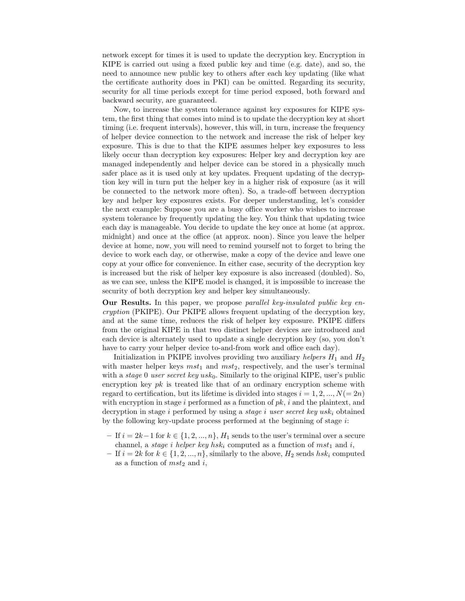network except for times it is used to update the decryption key. Encryption in KIPE is carried out using a fixed public key and time (e.g. date), and so, the need to announce new public key to others after each key updating (like what the certificate authority does in PKI) can be omitted. Regarding its security, security for all time periods except for time period exposed, both forward and backward security, are guaranteed.

Now, to increase the system tolerance against key exposures for KIPE system, the first thing that comes into mind is to update the decryption key at short timing (i.e. frequent intervals), however, this will, in turn, increase the frequency of helper device connection to the network and increase the risk of helper key exposure. This is due to that the KIPE assumes helper key exposures to less likely occur than decryption key exposures: Helper key and decryption key are managed independently and helper device can be stored in a physically much safer place as it is used only at key updates. Frequent updating of the decryption key will in turn put the helper key in a higher risk of exposure (as it will be connected to the network more often). So, a trade-off between decryption key and helper key exposures exists. For deeper understanding, let's consider the next example: Suppose you are a busy office worker who wishes to increase system tolerance by frequently updating the key. You think that updating twice each day is manageable. You decide to update the key once at home (at approx. midnight) and once at the office (at approx. noon). Since you leave the helper device at home, now, you will need to remind yourself not to forget to bring the device to work each day, or otherwise, make a copy of the device and leave one copy at your office for convenience. In either case, security of the decryption key is increased but the risk of helper key exposure is also increased (doubled). So, as we can see, unless the KIPE model is changed, it is impossible to increase the security of both decryption key and helper key simultaneously.

Our Results. In this paper, we propose parallel key-insulated public key encryption (PKIPE). Our PKIPE allows frequent updating of the decryption key, and at the same time, reduces the risk of helper key exposure. PKIPE differs from the original KIPE in that two distinct helper devices are introduced and each device is alternately used to update a single decryption key (so, you don't have to carry your helper device to-and-from work and office each day).

Initialization in PKIPE involves providing two auxiliary helpers  $H_1$  and  $H_2$ with master helper keys  $mst_1$  and  $mst_2$ , respectively, and the user's terminal with a *stage* 0 user secret key  $usk_0$ . Similarly to the original KIPE, user's public encryption key  $pk$  is treated like that of an ordinary encryption scheme with regard to certification, but its lifetime is divided into stages  $i = 1, 2, ..., N(= 2n)$ with encryption in stage i performed as a function of  $pk$ , i and the plaintext, and decryption in stage i performed by using a *stage i user secret key usk<sub>i</sub>* obtained by the following key-update process performed at the beginning of stage  $i$ :

- $-$  If  $i = 2k-1$  for  $k \in \{1, 2, ..., n\}, H_1$  sends to the user's terminal over a secure channel, a *stage i helper key hsk<sub>i</sub>* computed as a function of  $mst_1$  and i,
- If  $i = 2k$  for  $k \in \{1, 2, ..., n\}$ , similarly to the above,  $H_2$  sends  $h s k_i$  computed as a function of  $mst_2$  and i,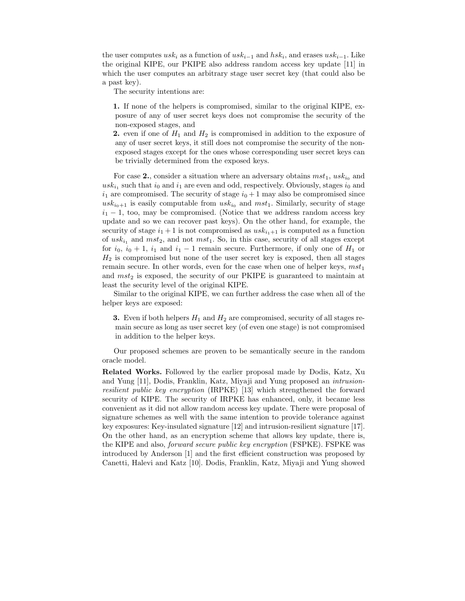the user computes usk<sub>i</sub> as a function of usk<sub>i-1</sub> and hsk<sub>i</sub>, and erases usk<sub>i-1</sub>. Like the original KIPE, our PKIPE also address random access key update [11] in which the user computes an arbitrary stage user secret key (that could also be a past key).

The security intentions are:

1. If none of the helpers is compromised, similar to the original KIPE, exposure of any of user secret keys does not compromise the security of the non-exposed stages, and

2. even if one of  $H_1$  and  $H_2$  is compromised in addition to the exposure of any of user secret keys, it still does not compromise the security of the nonexposed stages except for the ones whose corresponding user secret keys can be trivially determined from the exposed keys.

For case 2., consider a situation where an adversary obtains  $mst_1$ ,  $usk_{i_0}$  and usk<sub>i<sub>1</sub></sub> such that  $i_0$  and  $i_1$  are even and odd, respectively. Obviously, stages  $i_0$  and  $i_1$  are compromised. The security of stage  $i_0 + 1$  may also be compromised since  $usk_{i0+1}$  is easily computable from  $usk_{i0}$  and  $mst_1$ . Similarly, security of stage  $i_1$  – 1, too, may be compromised. (Notice that we address random access key update and so we can recover past keys). On the other hand, for example, the security of stage  $i_1 + 1$  is not compromised as  $usk_{i_1+1}$  is computed as a function of  $usk_{i_1}$  and  $mst_2$ , and not  $mst_1$ . So, in this case, security of all stages except for  $i_0$ ,  $i_0 + 1$ ,  $i_1$  and  $i_1 - 1$  remain secure. Furthermore, if only one of  $H_1$  or  $H_2$  is compromised but none of the user secret key is exposed, then all stages remain secure. In other words, even for the case when one of helper keys,  $mst_1$ and  $mst<sub>2</sub>$  is exposed, the security of our PKIPE is guaranteed to maintain at least the security level of the original KIPE.

Similar to the original KIPE, we can further address the case when all of the helper keys are exposed:

**3.** Even if both helpers  $H_1$  and  $H_2$  are compromised, security of all stages remain secure as long as user secret key (of even one stage) is not compromised in addition to the helper keys.

Our proposed schemes are proven to be semantically secure in the random oracle model.

Related Works. Followed by the earlier proposal made by Dodis, Katz, Xu and Yung [11], Dodis, Franklin, Katz, Miyaji and Yung proposed an intrusionresilient public key encryption (IRPKE) [13] which strengthened the forward security of KIPE. The security of IRPKE has enhanced, only, it became less convenient as it did not allow random access key update. There were proposal of signature schemes as well with the same intention to provide tolerance against key exposures: Key-insulated signature [12] and intrusion-resilient signature [17]. On the other hand, as an encryption scheme that allows key update, there is, the KIPE and also, forward secure public key encryption (FSPKE). FSPKE was introduced by Anderson [1] and the first efficient construction was proposed by Canetti, Halevi and Katz [10]. Dodis, Franklin, Katz, Miyaji and Yung showed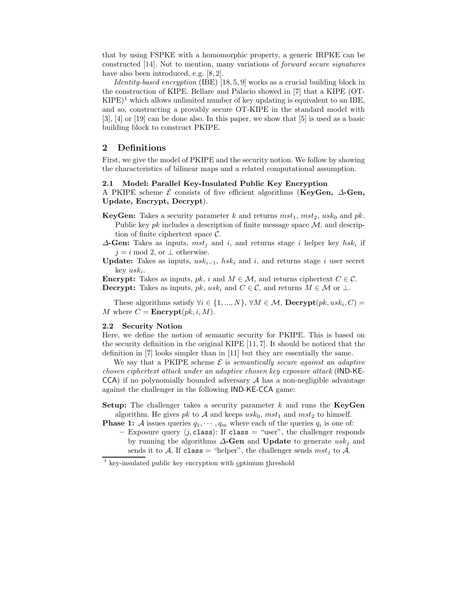that by using FSPKE with a homomorphic property, a generic IRPKE can be constructed [14]. Not to mention, many variations of forward secure signatures have also been introduced, e.g. [8, 2].

Identity-based encryption (IBE) [18, 5, 9] works as a crucial building block in the construction of KIPE. Bellare and Palacio showed in [7] that a KIPE (OT- $KIPE$ <sup>1</sup> which allows unlimited number of key updating is equivalent to an IBE, and so, constructing a provably secure OT-KIPE in the standard model with [3], [4] or [19] can be done also. In this paper, we show that [5] is used as a basic building block to construct PKIPE.

## 2 Definitions

First, we give the model of PKIPE and the security notion. We follow by showing the characteristics of bilinear maps and a related computational assumption.

### 2.1 Model: Parallel Key-Insulated Public Key Encryption

A PKIPE scheme  $\mathcal E$  consists of five efficient algorithms (KeyGen,  $\Delta$ -Gen, Update, Encrypt, Decrypt).

- **KeyGen:** Takes a security parameter k and returns  $mst_1$ ,  $mst_2$ ,  $usk_0$  and  $pk$ . Public key  $pk$  includes a description of finite message space  $M$ , and description of finite ciphertext space  $\mathcal{C}$ .
- $\Delta$ -Gen: Takes as inputs, mst<sub>i</sub> and i, and returns stage i helper key hsk<sub>i</sub> if  $i = i \mod 2$ , or  $\perp$  otherwise.
- Update: Takes as inputs,  $usk_{i-1}$ , hsk<sub>i</sub> and i, and returns stage i user secret key  $usk_i$ .

**Encrypt:** Takes as inputs, pk, i and  $M \in \mathcal{M}$ , and returns ciphertext  $C \in \mathcal{C}$ . **Decrypt:** Takes as inputs, pk, usk<sub>i</sub> and  $C \in \mathcal{C}$ , and returns  $M \in \mathcal{M}$  or  $\perp$ .

These algorithms satisfy  $\forall i \in \{1, ..., N\}, \forall M \in \mathcal{M}$ ,  $\textbf{Decrypt}(pk, usk_i, C)$ M where  $C =$  **Encrypt** $(pk, i, M)$ .

### 2.2 Security Notion

Here, we define the notion of semantic security for PKIPE. This is based on the security definition in the original KIPE [11, 7]. It should be noticed that the definition in [7] looks simpler than in [11] but they are essentially the same.

We say that a PKIPE scheme  $\mathcal E$  is semantically secure against an adaptive chosen ciphertext attack under an adaptive chosen key exposure attack (IND-KE- $CCA$ ) if no polynomially bounded adversary  $A$  has a non-negligible advantage against the challenger in the following IND-KE-CCA game:

**Setup:** The challenger takes a security parameter k and runs the **KeyGen** algorithm. He gives pk to A and keeps  $usk_0, mst_1$  and  $mst_2$  to himself.

**Phase 1:** A issues queries  $q_1, \dots, q_m$  where each of the queries  $q_i$  is one of:

– Exposure query  $\langle j, c \rangle$ : If class = "user", the challenger responds by running the algorithms  $\Delta$ -Gen and Update to generate usk<sub>j</sub> and sends it to A. If class = "helper", the challenger sends  $mst_j$  to A.

 $1$  key-insulated public key encryption with optimum threshold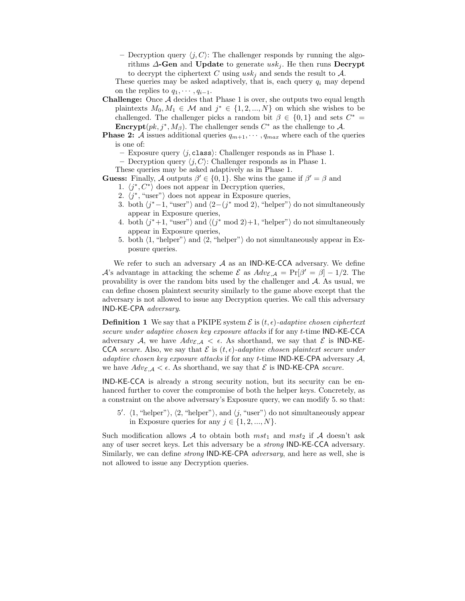– Decryption query  $\langle i, C \rangle$ : The challenger responds by running the algorithms  $\Delta$ -Gen and Update to generate usk<sub>i</sub>. He then runs Decrypt to decrypt the ciphertext C using  $usk_j$  and sends the result to A.

These queries may be asked adaptively, that is, each query  $q_i$  may depend on the replies to  $q_1, \cdots, q_{i-1}$ .

- Challenge: Once A decides that Phase 1 is over, she outputs two equal length plaintexts  $M_0, M_1 \in \mathcal{M}$  and  $j^* \in \{1, 2, ..., N\}$  on which she wishes to be challenged. The challenger picks a random bit  $\beta \in \{0,1\}$  and sets  $C^* =$ **Encrypt** $(pk, j^*, M_\beta)$ . The challenger sends  $C^*$  as the challenge to A.
- **Phase 2:** A issues additional queries  $q_{m+1}, \dots, q_{max}$  where each of the queries is one of:
	- Exposure query  $\langle j, \text{class} \rangle$ : Challenger responds as in Phase 1.
	- Decryption query  $\langle j, C \rangle$ : Challenger responds as in Phase 1.
	- These queries may be asked adaptively as in Phase 1.

**Guess:** Finally, A outputs  $\beta' \in \{0, 1\}$ . She wins the game if  $\beta' = \beta$  and

- 1.  $\langle j^*, C^* \rangle$  does not appear in Decryption queries,
- 2.  $\langle j^*, "user"\rangle$  does not appear in Exposure queries,
- 3. both  $\langle j^*-\overline{1}, \text{``user''}\rangle$  and  $\langle 2-(j^* \mod 2), \text{``helper''}\rangle$  do not simultaneously appear in Exposure queries,
- 4. both  $\langle j^*+1, \text{``user''}\rangle$  and  $\langle (j^* \text{ mod } 2)+1, \text{``higher''}\rangle$  do not simultaneously appear in Exposure queries,
- 5. both  $\langle 1, \text{ "helper"} \rangle$  and  $\langle 2, \text{ "helper"} \rangle$  do not simultaneously appear in Exposure queries.

We refer to such an adversary  $A$  as an IND-KE-CCA adversary. We define A's advantage in attacking the scheme E as  $Adv_{\mathcal{E},A} = \Pr[\beta' = \beta] - 1/2$ . The provability is over the random bits used by the challenger and  $A$ . As usual, we can define chosen plaintext security similarly to the game above except that the adversary is not allowed to issue any Decryption queries. We call this adversary IND-KE-CPA adversary.

**Definition 1** We say that a PKIPE system  $\mathcal{E}$  is  $(t, \epsilon)$ -adaptive chosen ciphertext secure under adaptive chosen key exposure attacks if for any t-time IND-KE-CCA adversary A, we have  $Adv_{\mathcal{E},\mathcal{A}} < \epsilon$ . As shorthand, we say that  $\mathcal{E}$  is IND-KE-CCA secure. Also, we say that  $\mathcal E$  is  $(t, \epsilon)$ -adaptive chosen plaintext secure under adaptive chosen key exposure attacks if for any t-time IND-KE-CPA adversary  $A$ , we have  $Adv_{\mathcal{E},A} < \epsilon$ . As shorthand, we say that  $\mathcal E$  is IND-KE-CPA secure.

IND-KE-CCA is already a strong security notion, but its security can be enhanced further to cover the compromise of both the helper keys. Concretely, as a constraint on the above adversary's Exposure query, we can modify 5. so that:

5'.  $\langle 1, \text{``heller''}\rangle$ ,  $\langle 2, \text{``henger''}\rangle$ , and  $\langle j, \text{``user''}\rangle$  do not simultaneously appear in Exposure queries for any  $j \in \{1, 2, ..., N\}$ .

Such modification allows A to obtain both  $mst_1$  and  $mst_2$  if A doesn't ask any of user secret keys. Let this adversary be a strong IND-KE-CCA adversary. Similarly, we can define strong IND-KE-CPA adversary, and here as well, she is not allowed to issue any Decryption queries.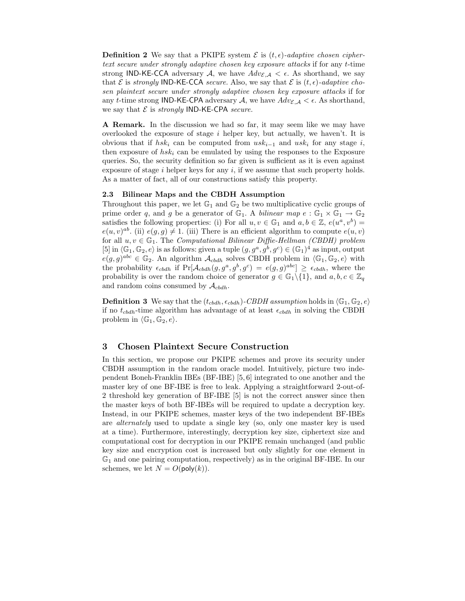**Definition 2** We say that a PKIPE system  $\mathcal{E}$  is  $(t, \epsilon)$ -adaptive chosen ciphertext secure under strongly adaptive chosen key exposure attacks if for any t-time strong IND-KE-CCA adversary A, we have  $Adv_{\mathcal{E},\mathcal{A}} < \epsilon$ . As shorthand, we say that  $\mathcal E$  is strongly IND-KE-CCA secure. Also, we say that  $\mathcal E$  is  $(t, \epsilon)$ -adaptive chosen plaintext secure under strongly adaptive chosen key exposure attacks if for any t-time strong IND-KE-CPA adversary A, we have  $Adv_{\mathcal{E},\mathcal{A}} < \epsilon$ . As shorthand, we say that  $\mathcal E$  is strongly IND-KE-CPA secure.

A Remark. In the discussion we had so far, it may seem like we may have overlooked the exposure of stage  $i$  helper key, but actually, we haven't. It is obvious that if  $h s k_i$  can be computed from  $u s k_{i-1}$  and  $u s k_i$  for any stage i, then exposure of  $h s k_i$  can be emulated by using the responses to the Exposure queries. So, the security definition so far given is sufficient as it is even against exposure of stage  $i$  helper keys for any  $i$ , if we assume that such property holds. As a matter of fact, all of our constructions satisfy this property.

# 2.3 Bilinear Maps and the CBDH Assumption

Throughout this paper, we let  $\mathbb{G}_1$  and  $\mathbb{G}_2$  be two multiplicative cyclic groups of prime order q, and g be a generator of  $\mathbb{G}_1$ . A bilinear map  $e : \mathbb{G}_1 \times \mathbb{G}_1 \to \mathbb{G}_2$ satisfies the following properties: (i) For all  $u, v \in \mathbb{G}_1$  and  $a, b \in \mathbb{Z}$ ,  $e(u^a, v^b) =$  $e(u, v)^{ab}$ . (ii)  $e(g, g) \neq 1$ . (iii) There is an efficient algorithm to compute  $e(u, v)$ for all  $u, v \in \mathbb{G}_1$ . The *Computational Bilinear Diffie-Hellman (CBDH)* problem [5] in  $\langle G_1, G_2, e \rangle$  is as follows: given a tuple  $(g, g^a, g^b, g^c) \in (\mathbb{G}_1)^4$  as input, output  $e(g, g)^{abc} \in \mathbb{G}_2$ . An algorithm  $\mathcal{A}_{cbdh}$  solves CBDH problem in  $\langle \mathbb{G}_1, \mathbb{G}_2, e \rangle$  with the probability  $\epsilon_{cbdh}$  if  $Pr[\mathcal{A}_{cbdh}(g, g^a, g^b, g^c) = e(g, g)^{abc}] \geq \epsilon_{cbdh}$ , where the probability is over the random choice of generator  $g \in \mathbb{G}_1 \setminus \{1\}$ , and  $a, b, c \in \mathbb{Z}_q$ and random coins consumed by  $A_{\text{c}bdh}$ .

**Definition 3** We say that the  $(t_{cbdh}, \epsilon_{cbdh})$ -CBDH assumption holds in  $\langle \mathbb{G}_1, \mathbb{G}_2, e \rangle$ if no  $t_{\text{cbdh}}$ -time algorithm has advantage of at least  $\epsilon_{\text{cbdh}}$  in solving the CBDH problem in  $\langle \mathbb{G}_1, \mathbb{G}_2, e \rangle$ .

# 3 Chosen Plaintext Secure Construction

In this section, we propose our PKIPE schemes and prove its security under CBDH assumption in the random oracle model. Intuitively, picture two independent Boneh-Franklin IBEs (BF-IBE) [5, 6] integrated to one another and the master key of one BF-IBE is free to leak. Applying a straightforward 2-out-of-2 threshold key generation of BF-IBE [5] is not the correct answer since then the master keys of both BF-IBEs will be required to update a decryption key. Instead, in our PKIPE schemes, master keys of the two independent BF-IBEs are alternately used to update a single key (so, only one master key is used at a time). Furthermore, interestingly, decryption key size, ciphertext size and computational cost for decryption in our PKIPE remain unchanged (and public key size and encryption cost is increased but only slightly for one element in  $\mathbb{G}_1$  and one pairing computation, respectively) as in the original BF-IBE. In our schemes, we let  $N = O(\text{poly}(k)).$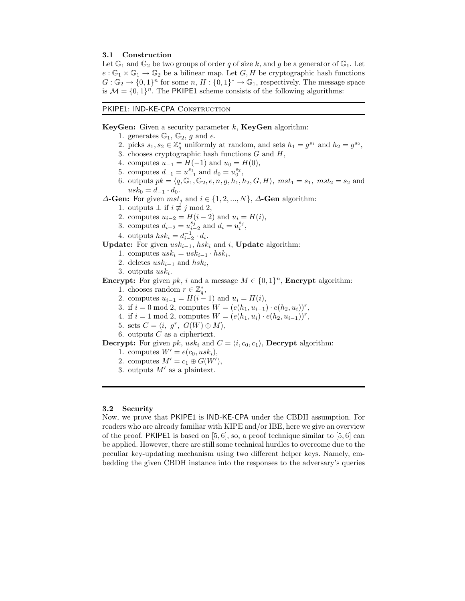### 3.1 Construction

Let  $\mathbb{G}_1$  and  $\mathbb{G}_2$  be two groups of order q of size k, and g be a generator of  $\mathbb{G}_1$ . Let  $e: \mathbb{G}_1 \times \mathbb{G}_1 \to \mathbb{G}_2$  be a bilinear map. Let  $G, H$  be cryptographic hash functions  $G: \mathbb{G}_2 \to \{0,1\}^n$  for some  $n, H: \{0,1\}^* \to \mathbb{G}_1$ , respectively. The message space is  $\mathcal{M} = \{0, 1\}^n$ . The PKIPE1 scheme consists of the following algorithms:

### PKIPE1: IND-KE-CPA CONSTRUCTION

**KeyGen:** Given a security parameter  $k$ , **KeyGen** algorithm:

- 1. generates  $\mathbb{G}_1$ ,  $\mathbb{G}_2$ , g and e.
- 2. picks  $s_1, s_2 \in \mathbb{Z}_q^*$  uniformly at random, and sets  $h_1 = g^{s_1}$  and  $h_2 = g^{s_2}$ ,
- 3. chooses cryptographic hash functions  $G$  and  $H$ ,
- 4. computes  $u_{-1} = H(-1)$  and  $u_0 = H(0)$ ,
- 5. computes  $d_{-1} = u_{-1}^{s_1}$  and  $d_0 = u_0^{s_2}$ ,
- 6. outputs  $pk = \langle q, \mathbb{G}_1, \mathbb{G}_2, e, n, g, h_1, h_2, G, H \rangle$ ,  $mst_1 = s_1$ ,  $mst_2 = s_2$  and  $u$ sk<sub>0</sub> =  $d_{-1} \cdot d_0$ .

 $\Delta$ -Gen: For given  $mst_j$  and  $i \in \{1, 2, ..., N\}$ ,  $\Delta$ -Gen algorithm:

- 1. outputs  $\bot$  if  $i \not\equiv j \mod 2$ ,
- 2. computes  $u_{i-2} = H(i-2)$  and  $u_i = H(i)$ ,
- 3. computes  $d_{i-2} = u_{i-2}^{s_j}$  and  $d_i = u_i^{s_j}$ ,
- 4. outputs  $h s k_i = d_{i-2}^{-1} \cdot d_i$ .

Update: For given  $usk_{i-1}$ , hsk<sub>i</sub> and i, Update algorithm:

- 1. computes  $usk_i = usk_{i-1} \cdot hsk_i$ ,
- 2. deletes  $usk_{i-1}$  and  $hsk_i$ ,
- 3. outputs  $usk_i$ .

**Encrypt:** For given pk, i and a message  $M \in \{0, 1\}^n$ , **Encrypt** algorithm:

- 1. chooses random  $r \in \mathbb{Z}_q^*$ ,
- 2. computes  $u_{i-1} = H(i-1)$  and  $u_i = H(i)$ ,
- 3. if  $i = 0 \mod 2$ , computes  $W = (e(h_1, u_{i-1}) \cdot e(h_2, u_i))^r$ ,
- 4. if  $i = 1 \mod 2$ , computes  $W = (e(h_1, u_i) \cdot e(h_2, u_{i-1}))^r$ ,
- 5. sets  $C = \langle i, g^r, G(W) \oplus M \rangle$ ,
- 6. outputs  $C$  as a ciphertext.

**Decrypt:** For given pk, usk<sub>i</sub> and  $C = \langle i, c_0, c_1 \rangle$ , **Decrypt** algorithm:

- 1. computes  $W' = e(c_0, usk_i),$
- 2. computes  $M' = c_1 \oplus G(W')$ ,
- 3. outputs  $M'$  as a plaintext.

#### 3.2 Security

Now, we prove that PKIPE1 is IND-KE-CPA under the CBDH assumption. For readers who are already familiar with KIPE and/or IBE, here we give an overview of the proof. PKIPE1 is based on  $[5, 6]$ , so, a proof technique similar to  $[5, 6]$  can be applied. However, there are still some technical hurdles to overcome due to the peculiar key-updating mechanism using two different helper keys. Namely, embedding the given CBDH instance into the responses to the adversary's queries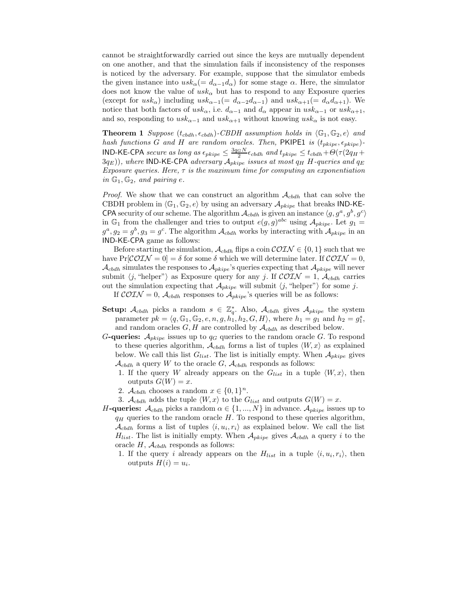cannot be straightforwardly carried out since the keys are mutually dependent on one another, and that the simulation fails if inconsistency of the responses is noticed by the adversary. For example, suppose that the simulator embeds the given instance into  $usk_{\alpha} (= d_{\alpha-1}d_{\alpha})$  for some stage  $\alpha$ . Here, the simulator does not know the value of  $usk_{\alpha}$  but has to respond to any Exposure queries (except for usk<sub>α</sub>) including usk<sub>α-1</sub>(=  $d_{\alpha-2}d_{\alpha-1}$ ) and usk<sub>α+1</sub>(=  $d_{\alpha}d_{\alpha+1}$ ). We notice that both factors of usk<sub>α</sub>, i.e.  $d_{\alpha-1}$  and  $d_{\alpha}$  appear in usk<sub>α-1</sub> or usk<sub>α+1</sub>, and so, responding to  $usk_{\alpha-1}$  and  $usk_{\alpha+1}$  without knowing  $usk_{\alpha}$  is not easy.

**Theorem 1** Suppose  $(t_{\text{cbdh}}, \epsilon_{\text{cbdh}})$ -CBDH assumption holds in  $\langle \mathbb{G}_1, \mathbb{G}_2, e \rangle$  and hash functions G and H are random oracles. Then, PKIPE1 is  $(t_{pkipe}, \epsilon_{pkipe})$ -IND-KE-CPA secure as long as  $\epsilon_{pkipe} \leq \frac{3q_GN}{2} \epsilon_{cbdh}$  and  $t_{pkipe} \leq t_{cbdh} + \Theta(\tau(2q_H +$  $3q_E$ )), where IND-KE-CPA adversary  $\mathcal{A}_{pkipe}$  issues at most  $q_H$  H-queries and  $q_E$ Exposure queries. Here,  $\tau$  is the maximum time for computing an exponentiation in  $\mathbb{G}_1, \mathbb{G}_2$ , and pairing e.

*Proof.* We show that we can construct an algorithm  $A_{\text{c}bdh}$  that can solve the CBDH problem in  $\langle \mathbb{G}_1, \mathbb{G}_2, e \rangle$  by using an adversary  $\mathcal{A}_{pkipe}$  that breaks IND-KE-CPA security of our scheme. The algorithm  $\mathcal{A}_{\text{cbdh}}$  is given an instance  $\langle g, g^a, g^b, g^c \rangle$ in  $\mathbb{G}_1$  from the challenger and tries to output  $e(g, g)^{abc}$  using  $\mathcal{A}_{pkipe}$ . Let  $g_1 =$  $g^a, g_2 = g^b, g_3 = g^c$ . The algorithm  $\mathcal{A}_{cbdh}$  works by interacting with  $\mathcal{A}_{pkipe}$  in an IND-KE-CPA game as follows:

Before starting the simulation,  $\mathcal{A}_{\text{cbdh}}$  flips a coin  $\mathcal{COIN} \in \{0, 1\}$  such that we have  $Pr[\mathcal{COLN} = 0] = \delta$  for some  $\delta$  which we will determine later. If  $\mathcal{COLN} = 0$ ,  $\mathcal{A}_{cbdh}$  simulates the responses to  $\mathcal{A}_{pkipe}$ 's queries expecting that  $\mathcal{A}_{pkipe}$  will never submit  $\langle j, \text{``heller''}\rangle$  as Exposure query for any j. If  $\mathcal{COLN} = 1$ ,  $\mathcal{A}_{\text{cbdh}}$  carries out the simulation expecting that  $\mathcal{A}_{pkipe}$  will submit  $\langle j, \text{``heller''}\rangle$  for some j.

If  $\mathcal{COIN} = 0$ ,  $\mathcal{A}_{cbdh}$  responses to  $\mathcal{A}_{pkipe}$ 's queries will be as follows:

- **Setup:**  $\mathcal{A}_{cbdh}$  picks a random  $s \in \mathbb{Z}_q^*$ . Also,  $\mathcal{A}_{cbdh}$  gives  $\mathcal{A}_{pkipe}$  the system parameter  $pk = \langle q, \mathbb{G}_1, \mathbb{G}_2, e, n, g, h_1, h_2, G, H \rangle$ , where  $h_1 = g_1$  and  $h_2 = g_1^s$ , and random oracles  $G, H$  are controlled by  $\mathcal{A}_{\text{cbdh}}$  as described below.
- G-queries:  $A_{pkipe}$  issues up to  $q_G$  queries to the random oracle G. To respond to these queries algorithm,  $A_{\text{cbdh}}$  forms a list of tuples  $\langle W, x \rangle$  as explained below. We call this list  $G_{list}$ . The list is initially empty. When  $A_{pkipe}$  gives  $\mathcal{A}_{cbdh}$  a query W to the oracle G,  $\mathcal{A}_{cbdh}$  responds as follows:
	- 1. If the query W already appears on the  $G_{list}$  in a tuple  $\langle W, x \rangle$ , then outputs  $G(W) = x$ .
	- 2.  $\mathcal{A}_{cbdh}$  chooses a random  $x \in \{0,1\}^n$ .
	- 3.  $\mathcal{A}_{\text{cbdh}}$  adds the tuple  $\langle W, x \rangle$  to the  $G_{\text{list}}$  and outputs  $G(W) = x$ .
- H-queries:  $\mathcal{A}_{cbdh}$  picks a random  $\alpha \in \{1, ..., N\}$  in advance.  $\mathcal{A}_{phipe}$  issues up to  $q_H$  queries to the random oracle H. To respond to these queries algorithm,  $\mathcal{A}_{\text{cbdh}}$  forms a list of tuples  $\langle i, u_i, r_i \rangle$  as explained below. We call the list  $H_{list}$ . The list is initially empty. When  $A_{pkipe}$  gives  $A_{cbdh}$  a query i to the oracle  $H$ ,  $A_{cbdh}$  responds as follows:
	- 1. If the query i already appears on the  $H_{list}$  in a tuple  $\langle i, u_i, r_i \rangle$ , then outputs  $H(i) = u_i$ .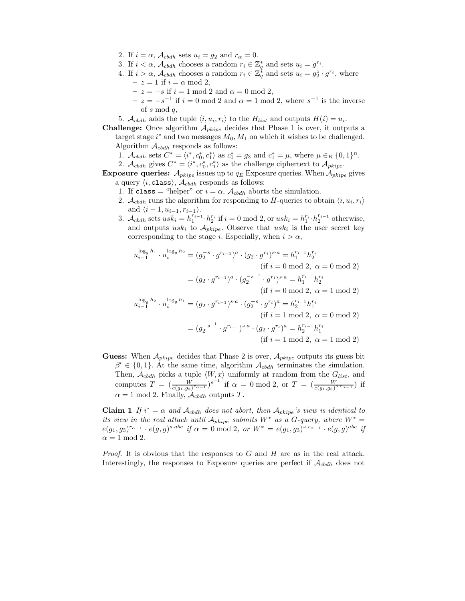- 2. If  $i = \alpha$ ,  $\mathcal{A}_{cbdh}$  sets  $u_i = g_2$  and  $r_\alpha = 0$ .
- 3. If  $i < \alpha$ ,  $\mathcal{A}_{cbdh}$  chooses a random  $r_i \in \mathbb{Z}_q^*$  and sets  $u_i = g^{r_i}$ .
- 4. If  $i > \alpha$ ,  $\mathcal{A}_{cbdh}$  chooses a random  $r_i \in \mathbb{Z}_q^*$  and sets  $u_i = g_2^* \cdot g^{r_i}$ , where  $-z=1$  if  $i=\alpha$  mod 2,
	- $-z = -s$  if  $i = 1 \mod 2$  and  $\alpha = 0 \mod 2$ ,
	- $-z = -s^{-1}$  if  $i = 0 \mod 2$  and  $\alpha = 1 \mod 2$ , where  $s^{-1}$  is the inverse of s mod  $q$ ,
- 5.  $\mathcal{A}_{cbdh}$  adds the tuple  $\langle i, u_i, r_i \rangle$  to the  $H_{list}$  and outputs  $H(i) = u_i$ .

**Challenge:** Once algorithm  $A_{\text{pkipe}}$  decides that Phase 1 is over, it outputs a target stage  $i^*$  and two messages  $M_0, M_1$  on which it wishes to be challenged. Algorithm  $A_{cbdh}$  responds as follows:

1.  $A_{\text{cbdh}}$  sets  $C^* = \langle i^*, c_0^*, c_1^* \rangle$  as  $c_0^* = g_3$  and  $c_1^* = \mu$ , where  $\mu \in_R \{0, 1\}^n$ .

2.  $\mathcal{A}_{\text{cbdh}}$  gives  $C^* = \langle i^*, c_0^*, c_1^* \rangle$  as the challenge ciphertext to  $\mathcal{A}_{\text{pkipe}}$ .

**Exposure queries:**  $A_{pkipe}$  issues up to  $q_E$  Exposure queries. When  $A_{pkipe}$  gives a query  $\langle i, \text{class} \rangle$ ,  $\mathcal{A}_{\text{cbdh}}$  responds as follows:

- 1. If class = "helper" or  $i = \alpha$ ,  $A_{cbdh}$  aborts the simulation.
- 2.  $\mathcal{A}_{\text{cbdh}}$  runs the algorithm for responding to H-queries to obtain  $\langle i, u_i, r_i \rangle$ and  $\langle i-1, u_{i-1}, r_{i-1}\rangle$ .
- 3.  $A_{\text{cbdh}}$  sets  $usk_i = h_1^{r_{i-1}} \cdot h_2^{r_i}$  if  $i = 0 \mod 2$ , or  $usk_i = h_1^{r_i} \cdot h_2^{r_{i-1}}$  otherwise, and outputs usk<sub>i</sub> to  $A_{pkipe}$ . Observe that usk<sub>i</sub> is the user secret key corresponding to the stage i. Especially, when  $i > \alpha$ ,

$$
u_{i-1}^{\log_g h_1} \cdot u_i^{\log_g h_2} = (g_2^{-s} \cdot g^{r_{i-1}})^a \cdot (g_2 \cdot g^{r_i})^{s \cdot a} = h_1^{r_{i-1}} h_2^{r_i}
$$
  
\n(if  $i = 0 \mod 2, \alpha = 0 \mod 2$ )  
\n
$$
= (g_2 \cdot g^{r_{i-1}})^a \cdot (g_2^{-s^{-1}} \cdot g^{r_i})^{s \cdot a} = h_1^{r_{i-1}} h_2^{r_i}
$$
  
\n(if  $i = 0 \mod 2, \alpha = 1 \mod 2$ )  
\n
$$
u_{i-1}^{\log_g h_2} \cdot u_i^{\log_g h_1} = (g_2 \cdot g^{r_{i-1}})^{s \cdot a} \cdot (g_2^{-s} \cdot g^{r_i})^a = h_2^{r_{i-1}} h_1^{r_i}
$$
  
\n(if  $i = 1 \mod 2, \alpha = 0 \mod 2$ )  
\n
$$
= (g_2^{-s^{-1}} \cdot g^{r_{i-1}})^{s \cdot a} \cdot (g_2 \cdot g^{r_i})^a = h_2^{r_{i-1}} h_1^{r_i}
$$
  
\n(if  $i = 1 \mod 2, \alpha = 1 \mod 2$ )

**Guess:** When  $A_{pkip}$  decides that Phase 2 is over,  $A_{pkip}$  outputs its guess bit  $\beta' \in \{0, 1\}$ . At the same time, algorithm  $\mathcal{A}_{\text{cbdh}}$  terminates the simulation. Then,  $\mathcal{A}_{cbdh}$  picks a tuple  $\langle W, x \rangle$  uniformly at random from the  $G_{list}$ , and computes  $T = \left(\frac{W}{e(g_1,g_3)^{r_{\alpha-1}}}\right)^{s^{-1}}$  if  $\alpha = 0 \mod 2$ , or  $T = \left(\frac{W}{e(g_1,g_3)^{s \cdot r_{\alpha-1}}}\right)$  if  $\alpha = 1 \mod 2$ . Finally,  $\mathcal{A}_{cbdh}$  outputs T.

**Claim 1** If  $i^* = \alpha$  and  $\mathcal{A}_{cbdh}$  does not abort, then  $\mathcal{A}_{pkipe}$ 's view is identical to its view in the real attack until  $A_{pkipe}$  submits  $W^*$  as a G-query, where  $W^* =$  $e(g_1, g_3)^{r_{\alpha-1}} \cdot e(g, g)^{s \cdot abc}$  if  $\alpha = 0 \mod 2$ , or  $W^* = e(g_1, g_3)^{s \cdot r_{\alpha-1}} \cdot e(g, g)^{abc}$  if  $\alpha = 1 \mod 2$ .

*Proof.* It is obvious that the responses to  $G$  and  $H$  are as in the real attack. Interestingly, the responses to Exposure queries are perfect if  $A_{\text{cbdh}}$  does not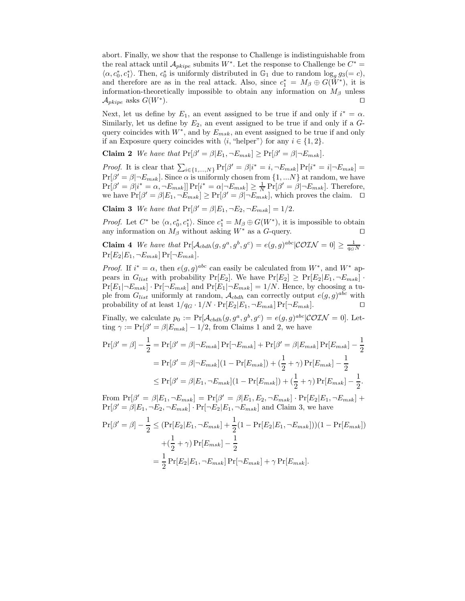abort. Finally, we show that the response to Challenge is indistinguishable from the real attack until  $A_{pkipe}$  submits W<sup>∗</sup>. Let the response to Challenge be  $C^*$  =  $\langle \alpha, c_0^*, c_1^* \rangle$ . Then,  $c_0^*$  is uniformly distributed in  $\mathbb{G}_1$  due to random  $\log_g g_3 (= c)$ , and therefore are as in the real attack. Also, since  $c_1^* = M_\beta \oplus G(\bar{W}^*)$ , it is information-theoretically impossible to obtain any information on  $M_{\beta}$  unless  $\mathcal{A}_{\text{okipe}}$  asks  $G(W^*)$ .

Next, let us define by  $E_1$ , an event assigned to be true if and only if  $i^* = \alpha$ . Similarly, let us define by  $E_2$ , an event assigned to be true if and only if a  $G$ query coincides with  $W^*$ , and by  $E_{msk}$ , an event assigned to be true if and only if an Exposure query coincides with  $\langle i, \text{``helper''}\rangle$  for any  $i \in \{1, 2\}.$ 

**Claim 2** We have that  $Pr[\beta' = \beta | E_1, \neg E_{msk}] \ge Pr[\beta' = \beta | \neg E_{msk}].$ 

Proof. It is clear that  $\sum_{i\in\{1,\dots,N\}} \Pr[\beta' = \beta | i^* = i, \neg E_{msk}] \Pr[i^* = i | \neg E_{msk}] =$  $Pr[\beta' = \beta | \neg E_{msk}]$ . Since  $\alpha$  is uniformly chosen from  $\{1,...N\}$  at random, we have  $Pr[\beta' = \beta | i^* = \alpha, \neg E_{msk}]$ ]  $Pr[i^* = \alpha | \neg E_{msk}] \ge \frac{1}{N} Pr[\beta' = \beta | \neg E_{msk}]$ . Therefore, we have  $Pr[\beta' = \beta | E_1, \neg E_{msk}] \ge Pr[\beta' = \beta | \neg E_{msk}]$ , which proves the claim.  $\Box$ 

Claim 3 We have that  $Pr[\beta' = \beta | E_1, \neg E_2, \neg E_{msk}] = 1/2$ .

*Proof.* Let  $C^*$  be  $\langle \alpha, c_0^*, c_1^* \rangle$ . Since  $c_1^* = M_\beta \oplus G(W^*)$ , it is impossible to obtain any information on  $M_\beta$  without asking  $W^*$  as a  $G$ -query.  $\Box$ 

**Claim 4** We have that 
$$
Pr[\mathcal{A}_{cbdh}(g, g^a, g^b, g^c) = e(g, g)^{abc} | \mathcal{COLN} = 0] \ge \frac{1}{q_G N} \cdot Pr[E_2|E_1, \neg E_{msk}] Pr[\neg E_{msk}].
$$

*Proof.* If  $i^* = \alpha$ , then  $e(g, g)^{abc}$  can easily be calculated from  $W^*$ , and  $W^*$  appears in  $G_{list}$  with probability  $Pr[E_2]$ . We have  $Pr[E_2] \geq Pr[E_2|E_1, \neg E_{msk}]$ .  $Pr[E_1|\neg E_{msk}] \cdot Pr[\neg E_{msk}]$  and  $Pr[E_1|\neg E_{msk}] = 1/N$ . Hence, by choosing a tuple from  $G_{list}$  uniformly at random,  $\mathcal{A}_{cbdh}$  can correctly output  $e(g, g)^{abc}$  with probability of at least  $1/a_C \cdot 1/N \cdot Pr[E_2|E_1 \cdot \neg E_{mck}]$   $\Gamma[\neg E_{mck}]$ . probability of at least  $1/q_G \cdot 1/N \cdot \Pr[E_2|E_1, \neg E_{msk}] \Pr[\neg E_{msk}]$ .

Finally, we calculate  $p_0 := \Pr[\mathcal{A}_{cbdh}(g, g^a, g^b, g^c) = e(g, g)^{abc} | \mathcal{COLN} = 0].$  Letting  $\gamma := \Pr[\beta' = \beta | E_{msk}] - 1/2$ , from Claims 1 and 2, we have

$$
\Pr[\beta' = \beta] - \frac{1}{2} = \Pr[\beta' = \beta | \neg E_{msk}] \Pr[\neg E_{msk}] + \Pr[\beta' = \beta | E_{msk}] \Pr[E_{msk}] - \frac{1}{2}
$$
  
=  $\Pr[\beta' = \beta | \neg E_{msk}] (1 - \Pr[E_{msk}] ) + (\frac{1}{2} + \gamma) \Pr[E_{msk}] - \frac{1}{2}$   
 $\leq \Pr[\beta' = \beta | E_1, \neg E_{msk}] (1 - \Pr[E_{msk}] ) + (\frac{1}{2} + \gamma) \Pr[E_{msk}] - \frac{1}{2}.$ 

From  $Pr[\beta' = \beta | E_1, \neg E_{msk}] = Pr[\beta' = \beta | E_1, E_2, \neg E_{msk}] \cdot Pr[E_2 | E_1, \neg E_{msk}] +$  $Pr[\beta' = \beta | E_1, \neg E_2, \neg E_{msk}] \cdot Pr[\neg E_2 | E_1, \neg E_{msk}]$  and Claim 3, we have

$$
\Pr[\beta' = \beta] - \frac{1}{2} \le (\Pr[E_2|E_1, \neg E_{msk}] + \frac{1}{2}(1 - \Pr[E_2|E_1, \neg E_{msk}])(1 - \Pr[E_{msk}]) + (\frac{1}{2} + \gamma) \Pr[E_{msk}] - \frac{1}{2}
$$

$$
= \frac{1}{2} \Pr[E_2|E_1, \neg E_{msk}] \Pr[\neg E_{msk}] + \gamma \Pr[E_{msk}].
$$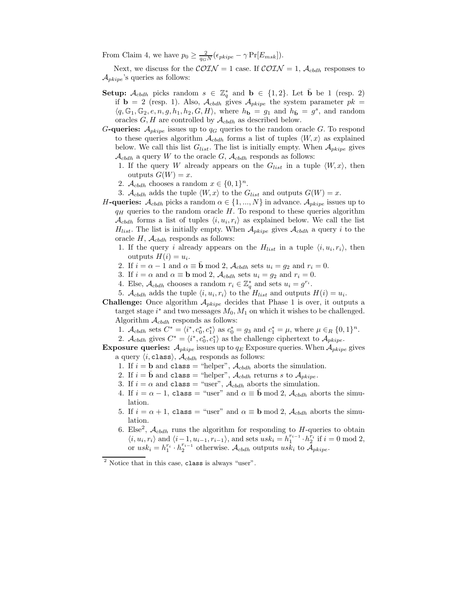From Claim 4, we have  $p_0 \geq \frac{2}{q_GN}(\epsilon_{pkipe} - \gamma \Pr[E_{msk}]).$ 

Next, we discuss for the  $\mathcal{COLN} = 1$  case. If  $\mathcal{COLN} = 1$ ,  $\mathcal{A}_{\text{cbdh}}$  responses to  $\mathcal{A}_{pkip}$ 's queries as follows:

- Setup:  $\mathcal{A}_{\text{cbdh}}$  picks random  $s \in \mathbb{Z}_q^*$  and  $\mathbf{b} \in \{1,2\}$ . Let  $\bar{\mathbf{b}}$  be 1 (resp. 2) if  $\mathbf{b} = 2$  (resp. 1). Also,  $\mathcal{A}_{cbdh}$  gives  $\mathcal{A}_{pkipe}$  the system parameter  $pk =$  $\langle q, \mathbb{G}_1, \mathbb{G}_2, e, n, g, h_1, h_2, G, H \rangle$ , where  $h_{\mathbf{b}} = g_1$  and  $h_{\bar{\mathbf{b}}} = g^s$ , and random oracles  $G, H$  are controlled by  $\mathcal{A}_{cbdh}$  as described below.
- G-queries:  $A_{pkipe}$  issues up to  $q_G$  queries to the random oracle G. To respond to these queries algorithm  $\mathcal{A}_{\text{cbdh}}$  forms a list of tuples  $\langle W, x \rangle$  as explained below. We call this list  $G_{list}$ . The list is initially empty. When  $A_{pkipe}$  gives  $\mathcal{A}_{\text{cbdh}}$  a query W to the oracle G,  $\mathcal{A}_{\text{cbdh}}$  responds as follows:
	- 1. If the query W already appears on the  $G_{list}$  in a tuple  $\langle W, x \rangle$ , then outputs  $G(W) = x$ .
	- 2.  $\mathcal{A}_{cbdh}$  chooses a random  $x \in \{0,1\}^n$ .
	- 3.  $\mathcal{A}_{cbdh}$  adds the tuple  $\langle W, x \rangle$  to the  $G_{list}$  and outputs  $G(W) = x$ .
- H-queries:  $\mathcal{A}_{\text{cbdh}}$  picks a random  $\alpha \in \{1, ..., N\}$  in advance.  $\mathcal{A}_{\text{pkipe}}$  issues up to  $q_H$  queries to the random oracle H. To respond to these queries algorithm  $\mathcal{A}_{\text{cbdh}}$  forms a list of tuples  $\langle i, u_i, r_i \rangle$  as explained below. We call the list  $H_{list}$ . The list is initially empty. When  $A_{pkipe}$  gives  $A_{cbdh}$  a query i to the oracle  $H$ ,  $\mathcal{A}_{cbdh}$  responds as follows:
	- 1. If the query i already appears on the  $H_{list}$  in a tuple  $\langle i, u_i, r_i \rangle$ , then outputs  $H(i) = u_i$ .
	- 2. If  $i = \alpha 1$  and  $\alpha \equiv \mathbf{b} \mod 2$ ,  $\mathcal{A}_{\text{cbdh}}$  sets  $u_i = g_2$  and  $r_i = 0$ .
	- 3. If  $i = \alpha$  and  $\alpha \equiv \mathbf{b} \mod 2$ ,  $\mathcal{A}_{\text{cbdh}}$  sets  $u_i = g_2$  and  $r_i = 0$ .
	- 4. Else,  $\mathcal{A}_{cbdh}$  chooses a random  $r_i \in \mathbb{Z}_q^*$  and sets  $u_i = g^{r_i}$ .
	- 5.  $\mathcal{A}_{cbdh}$  adds the tuple  $\langle i, u_i, r_i \rangle$  to the  $H_{list}$  and outputs  $H(i) = u_i$ .

**Challenge:** Once algorithm  $A_{pkipe}$  decides that Phase 1 is over, it outputs a target stage  $i^*$  and two messages  $M_0, M_1$  on which it wishes to be challenged. Algorithm  $A_{cbdh}$  responds as follows:

- 1.  $\mathcal{A}_{\text{cbdh}}$  sets  $C^* = \langle i^*, c_0^*, c_1^* \rangle$  as  $c_0^* = g_3$  and  $c_1^* = \mu$ , where  $\mu \in_R \{0, 1\}^n$ .
- 2.  $\mathcal{A}_{cbdh}$  gives  $C^* = \langle i^*, c_0^*, c_1^* \rangle$  as the challenge ciphertext to  $\mathcal{A}_{pkipe}$ .

**Exposure queries:**  $A_{pkipe}$  issues up to  $q_E$  Exposure queries. When  $A_{pkipe}$  gives a query  $\langle i, \text{class} \rangle$ ,  $\mathcal{A}_{\text{cbdh}}$  responds as follows:

- 1. If  $i = \mathbf{b}$  and class = "helper",  $\mathcal{A}_{\text{cbdh}}$  aborts the simulation.
- 2. If  $i = \bar{b}$  and class = "helper",  $\mathcal{A}_{\text{cbdh}}$  returns s to  $\mathcal{A}_{\text{pkipe}}$ .
- 3. If  $i = \alpha$  and class = "user",  $\mathcal{A}_{cbdh}$  aborts the simulation.
- 4. If  $i = \alpha 1$ , class = "user" and  $\alpha \equiv \bar{b} \mod 2$ ,  $\mathcal{A}_{\text{cbdh}}$  aborts the simulation.
- 5. If  $i = \alpha + 1$ , class = "user" and  $\alpha \equiv \mathbf{b} \mod 2$ ,  $\mathcal{A}_{\text{cbdh}}$  aborts the simulation.
- 6. Else<sup>2</sup>,  $A_{cbdh}$  runs the algorithm for responding to H-queries to obtain  $\langle i, u_i, r_i \rangle$  and  $\langle i-1, u_{i-1}, r_{i-1} \rangle$ , and sets  $usk_i = h_1^{r_{i-1}} \cdot h_2^{r_i}$  if  $i = 0 \mod 2$ , or  $usk_i = h_1^{r_i} \cdot h_2^{r_{i-1}}$  otherwise.  $\mathcal{A}_{cbdh}$  outputs  $usk_i$  to  $\mathcal{A}_{pkipe}$ .

<sup>2</sup> Notice that in this case, class is always "user".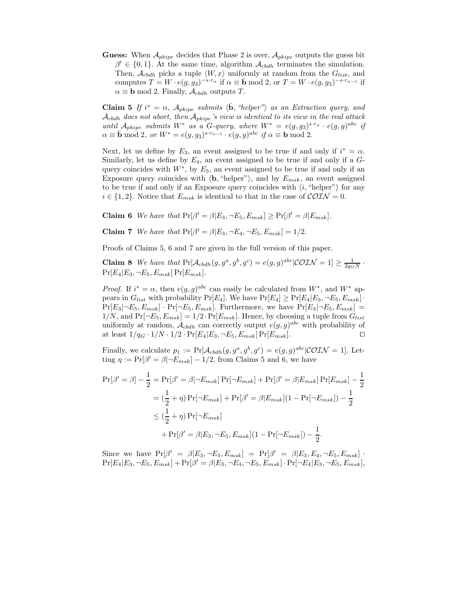**Guess:** When  $A_{pkip}$  decides that Phase 2 is over,  $A_{pkip}$  outputs the guess bit  $\beta' \in \{0, 1\}$ . At the same time, algorithm  $\mathcal{A}_{\text{cbdh}}$  terminates the simulation. Then,  $\mathcal{A}_{\text{cbdh}}$  picks a tuple  $\langle W, x \rangle$  uniformly at random from the  $G_{list}$ , and computes  $T = W \cdot e(g, g_3)^{-s \cdot r_\alpha}$  if  $\alpha \equiv \mathbf{b} \mod 2$ , or  $T = W \cdot e(g, g_3)^{-s \cdot r_{\alpha-1}}$  if  $\alpha \equiv \mathbf{b} \mod 2$ . Finally,  $\mathcal{A}_{cbdh}$  outputs T.

Claim 5 If  $i^* = \alpha$ ,  $\mathcal{A}_{pkipe}$  submits  $\langle \bar{\mathbf{b}}, \text{ "heller"} \rangle$  as an Extraction query, and  $\mathcal{A}_{cbdh}$  does not abort, then  $\mathcal{A}_{pkipe}$ 's view is identical to its view in the real attack until  $\mathcal{A}_{pkip}$  submits  $W^*$  as a G-query, where  $W^* = e(g, g_3)^{s \cdot r_\alpha} \cdot e(g, g)^{abc}$  if  $\alpha \equiv \bar{\mathbf{b}} \mod 2$ , or  $W^* = e(q, q_3)^{s \cdot r_{\alpha-1}} \cdot e(q, q)^{abc}$  if  $\alpha \equiv \mathbf{b} \mod 2$ .

Next, let us define by  $E_3$ , an event assigned to be true if and only if  $i^* = \alpha$ . Similarly, let us define by  $E_4$ , an event assigned to be true if and only if a  $G$ query coincides with  $W^*$ , by  $E_5$ , an event assigned to be true if and only if an Exposure query coincides with  $\langle \mathbf{b}, \text{``heller''} \rangle$ , and by  $E_{msk}$ , an event assigned to be true if and only if an Exposure query coincides with  $\langle i, \text{``heller''}\rangle$  for any  $i \in \{1, 2\}$ . Notice that  $E_{msk}$  is identical to that in the case of  $\mathcal{COLN} = 0$ .

**Claim 6** We have that  $Pr[\beta' = \beta | E_3, \neg E_5, E_{msk}] \ge Pr[\beta' = \beta | E_{msk}].$ 

Claim 7 We have that  $Pr[\beta' = \beta | E_3, \neg E_4, \neg E_5, E_{msk}] = 1/2$ .

Proofs of Claims 5, 6 and 7 are given in the full version of this paper.

**Claim 8** We have that  $Pr[\mathcal{A}_{cbdh}(g, g^a, g^b, g^c) = e(g, g)^{abc} | \mathcal{COLN} = 1] \ge \frac{1}{2q_GN}$ .  $Pr[E_4|E_3, \neg E_5, E_{msk}] Pr[E_{msk}].$ 

*Proof.* If  $i^* = \alpha$ , then  $e(g, g)^{abc}$  can easily be calculated from  $W^*$ , and  $W^*$  appears in  $G_{list}$  with probability  $Pr[E_4]$ . We have  $Pr[E_4] \geq Pr[E_4 | E_3, \neg E_5, E_{msk}]$ .  $Pr[E_3|\neg E_5, E_{msk}] \cdot Pr[\neg E_5, E_{msk}]$ . Furthermore, we have  $Pr[E_3|\neg E_5, E_{msk}] =$  $1/N$ , and  $Pr[\neg E_5, E_{msk}] = 1/2 \cdot Pr[E_{msk}]$ . Hence, by choosing a tuple from  $G_{list}$ uniformly at random,  $\mathcal{A}_{cbdh}$  can correctly output  $e(g, g)^{abc}$  with probability of at least  $1/q_G \cdot 1/N \cdot 1/2 \cdot \Pr[E_4|E_3, \neg E_5, E_{msk}] \Pr[E_{msk}]$ . at least  $1/q_G \cdot 1/N \cdot 1/2 \cdot \Pr[E_4 | E_3, \neg E_5, E_{msk}] \Pr[E_{msk}].$ 

Finally, we calculate  $p_1 := \Pr[\mathcal{A}_{cbdh}(g, g^a, g^b, g^c) = e(g, g)^{abc} | \mathcal{COLN} = 1].$  Letting  $\eta := \Pr[\beta' = \beta | \neg E_{msk}] - 1/2$ , from Claims 5 and 6, we have

$$
\Pr[\beta' = \beta] - \frac{1}{2} = \Pr[\beta' = \beta | \neg E_{msk}] \Pr[\neg E_{msk}] + \Pr[\beta' = \beta | E_{msk}] \Pr[E_{msk}] - \frac{1}{2}
$$
  
=  $(\frac{1}{2} + \eta) \Pr[\neg E_{msk}] + \Pr[\beta' = \beta | E_{msk}] (1 - \Pr[\neg E_{msk}]) - \frac{1}{2}$   
 $\leq (\frac{1}{2} + \eta) \Pr[\neg E_{msk}]$   
+  $\Pr[\beta' = \beta | E_3, \neg E_5, E_{msk}] (1 - \Pr[\neg E_{msk}]) - \frac{1}{2}.$ 

Since we have  $Pr[\beta' = \beta | E_3, \neg E_5, E_{msk}] = Pr[\beta' = \beta | E_3, E_4, \neg E_5, E_{msk}]$ .  $Pr[E_4|E_3, \neg E_5, E_{msk}] + Pr[\beta' = \beta | E_3, \neg E_4, \neg E_5, E_{msk}] \cdot Pr[\neg E_4 | E_3, \neg E_5, E_{msk}],$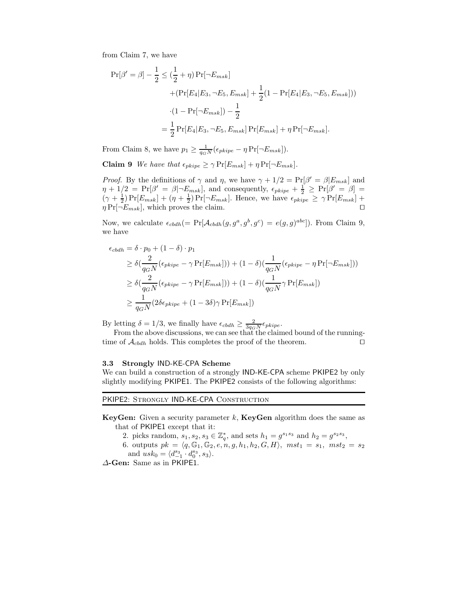from Claim 7, we have

$$
\Pr[\beta' = \beta] - \frac{1}{2} \le (\frac{1}{2} + \eta) \Pr[\neg E_{msk}]
$$
  
+  $(\Pr[E_4 | E_3, \neg E_5, E_{msk}] + \frac{1}{2}(1 - \Pr[E_4 | E_3, \neg E_5, E_{msk}]))$   
 $\cdot (1 - \Pr[\neg E_{msk}]) - \frac{1}{2}$   
=  $\frac{1}{2} \Pr[E_4 | E_3, \neg E_5, E_{msk}] \Pr[E_{msk}] + \eta \Pr[\neg E_{msk}].$ 

From Claim 8, we have  $p_1 \geq \frac{1}{q_GN}(\epsilon_{pkipe} - \eta \Pr[\neg E_{msk}]).$ 

**Claim 9** We have that  $\epsilon_{p k i p e} \ge \gamma \Pr[E_{ms k}] + \eta \Pr[\neg E_{ms k}]$ .

*Proof.* By the definitions of  $\gamma$  and  $\eta$ , we have  $\gamma + 1/2 = Pr[\beta' = \beta | E_{msk}]$  and  $\eta + 1/2 = Pr[\beta' = \beta | \neg E_{msk}],$  and consequently,  $\epsilon_{pkipe} + \frac{1}{2} \ge Pr[\beta' = \beta] =$  $(\gamma + \frac{1}{2})Pr[E_{msk}] + (\eta + \frac{1}{2})Pr[\neg E_{msk}]$ . Hence, we have  $\epsilon_{pkipe} \geq \gamma Pr[E_{msk}] +$  $\eta \Pr[\overline{\neg E_{msk}}]$ , which proves the claim.

Now, we calculate  $\epsilon_{cbdh} (= \Pr[\mathcal{A}_{cbdh}(g, g^a, g^b, g^c) = e(g, g)^{abc}]$ ). From Claim 9, we have

$$
\epsilon_{cbdh} = \delta \cdot p_0 + (1 - \delta) \cdot p_1
$$
  
\n
$$
\geq \delta \left( \frac{2}{q_G N} (\epsilon_{pkipe} - \gamma \Pr[E_{msk}]) \right) + (1 - \delta) \left( \frac{1}{q_G N} (\epsilon_{pkipe} - \eta \Pr[\neg E_{msk}]) \right)
$$
  
\n
$$
\geq \delta \left( \frac{2}{q_G N} (\epsilon_{pkipe} - \gamma \Pr[E_{msk}]) \right) + (1 - \delta) \left( \frac{1}{q_G N} \gamma \Pr[E_{msk}] \right)
$$
  
\n
$$
\geq \frac{1}{q_G N} (2 \delta \epsilon_{pkipe} + (1 - 3 \delta) \gamma \Pr[E_{msk}] )
$$

By letting  $\delta = 1/3$ , we finally have  $\epsilon_{cbdh} \geq \frac{2}{3q_GN} \epsilon_{phipe}$ .

From the above discussions, we can see that the claimed bound of the runningtime of  $\mathcal{A}_{\text{cbdh}}$  holds. This completes the proof of the theorem.  $\Box$ 

#### 3.3 Strongly IND-KE-CPA Scheme

We can build a construction of a strongly IND-KE-CPA scheme PKIPE2 by only slightly modifying PKIPE1. The PKIPE2 consists of the following algorithms:

PKIPE2: STRONGLY IND-KE-CPA CONSTRUCTION

**KeyGen:** Given a security parameter  $k$ , **KeyGen** algorithm does the same as that of PKIPE1 except that it:

2. picks random,  $s_1, s_2, s_3 \in \mathbb{Z}_q^*$ , and sets  $h_1 = g^{s_1 s_3}$  and  $h_2 = g^{s_2 s_3}$ ,

6. outputs  $pk = \langle q, \mathbb{G}_1, \mathbb{G}_2, e, n, g, h_1, h_2, G, H \rangle$ ,  $mst_1 = s_1$ ,  $mst_2 = s_2$ and  $usk_0 = \langle d_{-1}^{s_3} \cdot d_0^{s_3}, s_3 \rangle$ .

∆-Gen: Same as in PKIPE1.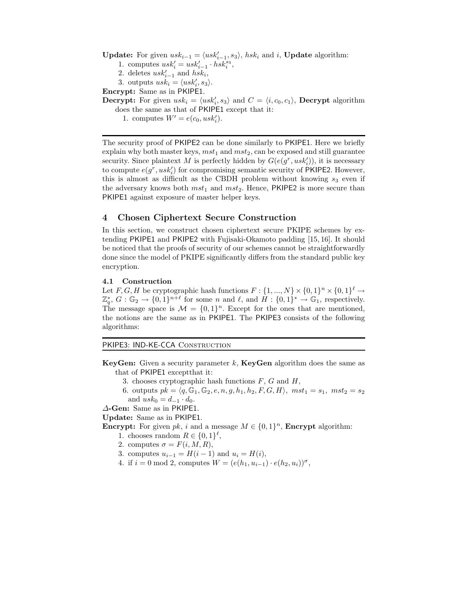**Update:** For given  $usk_{i-1} = \langle usk'_{i-1}, s_3 \rangle$ , hsk<sub>i</sub> and i, **Update** algorithm:

1. computes  $usk'_i = usk'_{i-1} \cdot hsk_i^{ss}$ ,

2. deletes  $usk'_{i-1}$  and  $hsk_i$ ,

3. outputs  $usk_i = \langle usk'_i, s_3 \rangle$ .

Encrypt: Same as in PKIPE1.

**Decrypt:** For given  $usk_i = \langle usk'_i, s_3 \rangle$  and  $C = \langle i, c_0, c_1 \rangle$ , **Decrypt** algorithm does the same as that of PKIPE1 except that it:

1. computes  $W' = e(c_0, usk'_i)$ .

The security proof of PKIPE2 can be done similarly to PKIPE1. Here we briefly explain why both master keys,  $mst_1$  and  $mst_2$ , can be exposed and still guarantee security. Since plaintext M is perfectly hidden by  $G(e(g^r, u s k_i'))$ , it is necessary to compute  $e(g^r, u s k'_i)$  for compromising semantic security of PKIPE2. However, this is almost as difficult as the CBDH problem without knowing  $s_3$  even if the adversary knows both  $mst_1$  and  $mst_2$ . Hence, PKIPE2 is more secure than PKIPE1 against exposure of master helper keys.

# 4 Chosen Ciphertext Secure Construction

In this section, we construct chosen ciphertext secure PKIPE schemes by extending PKIPE1 and PKIPE2 with Fujisaki-Okamoto padding [15, 16]. It should be noticed that the proofs of security of our schemes cannot be straightforwardly done since the model of PKIPE significantly differs from the standard public key encryption.

#### 4.1 Construction

Let F, G, H be cryptographic hash functions  $F: \{1, ..., N\} \times \{0, 1\}^n \times \{0, 1\}^{\ell} \rightarrow$  $\mathbb{Z}_q^*, G: \mathbb{G}_2 \to \{0,1\}^{n+\ell}$  for some n and  $\ell$ , and  $H: \{0,1\}^* \to \mathbb{G}_1$ , respectively. The message space is  $\mathcal{M} = \{0, 1\}^n$ . Except for the ones that are mentioned, the notions are the same as in PKIPE1. The PKIPE3 consists of the following algorithms:

#### PKIPE3: IND-KE-CCA CONSTRUCTION

- KeyGen: Given a security parameter  $k$ , KeyGen algorithm does the same as that of PKIPE1 exceptthat it:
	- 3. chooses cryptographic hash functions  $F$ ,  $G$  and  $H$ ,
	- 6. outputs  $pk = \langle q, \mathbb{G}_1, \mathbb{G}_2, e, n, g, h_1, h_2, F, G, H \rangle$ ,  $mst_1 = s_1$ ,  $mst_2 = s_2$ and  $u s k_0 = d_{-1} \cdot d_0$ .
- ∆-Gen: Same as in PKIPE1.

Update: Same as in PKIPE1.

**Encrypt:** For given pk, i and a message  $M \in \{0,1\}^n$ , **Encrypt** algorithm:

- 1. chooses random  $R \in \{0,1\}^{\ell}$ ,
- 2. computes  $\sigma = F(i, M, R)$ ,
- 3. computes  $u_{i-1} = H(i-1)$  and  $u_i = H(i)$ ,
- 4. if  $i = 0 \mod 2$ , computes  $W = (e(h_1, u_{i-1}) \cdot e(h_2, u_i))^{\sigma}$ ,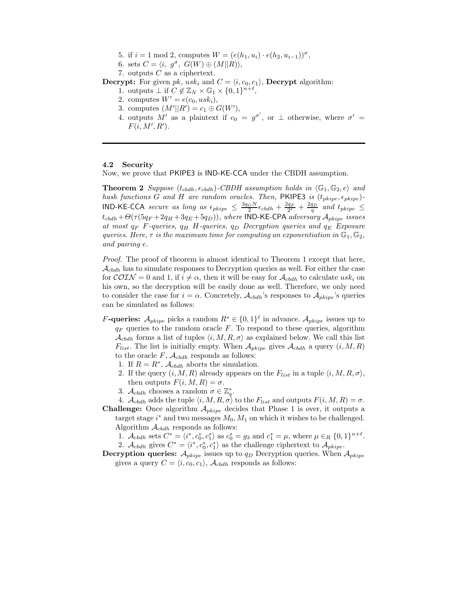- 5. if  $i = 1 \mod 2$ , computes  $W = (e(h_1, u_i) \cdot e(h_2, u_{i-1}))^{\sigma}$ ,
- 6. sets  $C = \langle i, g^{\sigma}, G(W) \oplus (M||R) \rangle$ ,

7. outputs  $C$  as a ciphertext.

**Decrypt:** For given pk, usk<sub>i</sub> and  $C = \langle i, c_0, c_1 \rangle$ , **Decrypt** algorithm:

- 1. outputs  $\perp$  if  $C \notin \mathbb{Z}_N \times \mathbb{G}_1 \times \{0,1\}^{n+\ell}$ ,
- 2. computes  $W' = e(c_0, usk_i),$
- 3. computes  $(M'||R') = c_1 \oplus G(W')$ ,
- 4. outputs M' as a plaintext if  $c_0 = g^{\sigma'}$ , or  $\perp$  otherwise, where  $\sigma' =$  $F(i, M', R').$

#### 4.2 Security

Now, we prove that PKIPE3 is IND-KE-CCA under the CBDH assumption.

**Theorem 2** Suppose  $(t_{\text{cbdh}}, \epsilon_{\text{cbdh}})$ -CBDH assumption holds in  $\langle \mathbb{G}_1, \mathbb{G}_2, e \rangle$  and hash functions G and H are random oracles. Then, PKIPE3 is  $(t_{pkipe}, \epsilon_{pkipe})$ -IND-KE-CCA secure as long as  $\epsilon_{pkipe} \leq \frac{3q_GN}{2} \epsilon_{cbdh} + \frac{2q_F}{2^{\ell}} + \frac{2q_D}{q}$  and  $t_{pkipe} \leq$  $t_{\text{cbdh}} + \Theta(\tau(5q_F + 2q_H + 3q_E + 5q_D))$ , where IND-KE-CPA adversary  $\mathcal{A}_{\text{pkipe}}$  issues at most  $q_F$  F-queries,  $q_H$  H-queries,  $q_D$  Decryption queries and  $q_E$  Exposure queries. Here,  $\tau$  is the maximum time for computing an exponentiation in  $\mathbb{G}_1, \mathbb{G}_2$ , and pairing e.

Proof. The proof of theorem is almost identical to Theorem 1 except that here,  $\mathcal{A}_{\text{cbdh}}$  has to simulate responses to Decryption queries as well. For either the case for  $\mathcal{COLN} = 0$  and 1, if  $i \neq \alpha$ , then it will be easy for  $\mathcal{A}_{\text{cbdh}}$  to calculate usk<sub>i</sub> on his own, so the decryption will be easily done as well. Therefore, we only need to consider the case for  $i = \alpha$ . Concretely,  $\mathcal{A}_{\text{cbdh}}$ 's responses to  $\mathcal{A}_{\text{pkipe}}$ 's queries can be simulated as follows:

- F-queries:  $A_{pkipe}$  picks a random  $R^*$  ∈ {0, 1}<sup>ℓ</sup> in advance.  $A_{pkipe}$  issues up to  $q_F$  queries to the random oracle F. To respond to these queries, algorithm  $\mathcal{A}_{\text{cbdh}}$  forms a list of tuples  $\langle i, M, R, \sigma \rangle$  as explained below. We call this list  $F_{list}$ . The list is initially empty. When  $A_{pkipe}$  gives  $A_{cold}$  a query  $(i, M, R)$ to the oracle  $F$ ,  $\mathcal{A}_{cbdh}$  responds as follows:
	- 1. If  $R = R^*$ ,  $\mathcal{A}_{cbdh}$  aborts the simulation.
	- 2. If the query  $(i, M, R)$  already appears on the  $F_{list}$  in a tuple  $\langle i, M, R, \sigma \rangle$ , then outputs  $F(i, M, R) = \sigma$ .
	- 3.  $\mathcal{A}_{cbdh}$  chooses a random  $\sigma \in \mathbb{Z}_q^*$ .
	- 4.  $\mathcal{A}_{cbdh}$  adds the tuple  $\langle i, M, R, \sigma \rangle$  to the  $F_{list}$  and outputs  $F(i, M, R) = \sigma$ .
- **Challenge:** Once algorithm  $A_{pkipe}$  decides that Phase 1 is over, it outputs a target stage  $i^*$  and two messages  $M_0, M_1$  on which it wishes to be challenged. Algorithm  $\mathcal{A}_{cbdh}$  responds as follows:
	- 1.  $A_{cbdh}$  sets  $C^* = \langle i^*, c_0^*, c_1^* \rangle$  as  $c_0^* = g_3$  and  $c_1^* = \mu$ , where  $\mu \in_R \{0, 1\}^{n+\ell}$ .
	- 2.  $A_{\text{cbdh}}$  gives  $C^* = \langle i^*, c_0^*, c_1^* \rangle$  as the challenge ciphertext to  $A_{\text{pkipe}}$ .
- **Decryption queries:**  $A_{pkip}$  issues up to  $q_D$  Decryption queries. When  $A_{pkip}$ gives a query  $C = \langle i, c_0, c_1 \rangle$ ,  $\mathcal{A}_{\text{cbdh}}$  responds as follows: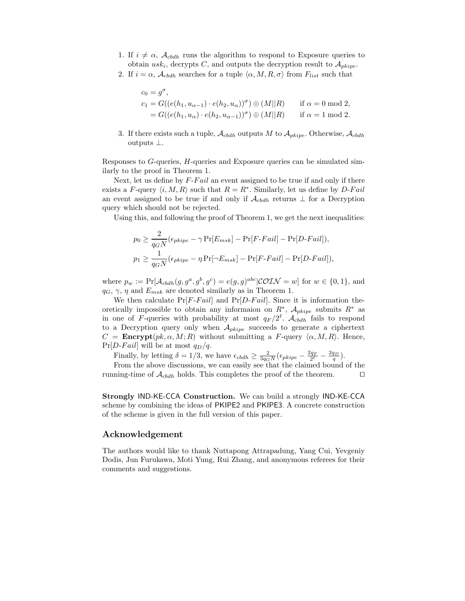- 1. If  $i \neq \alpha$ ,  $\mathcal{A}_{\text{cbdh}}$  runs the algorithm to respond to Exposure queries to obtain usk<sub>i</sub>, decrypts C, and outputs the decryption result to  $A_{pkipe}$ .
- 2. If  $i = \alpha$ ,  $\mathcal{A}_{cbdh}$  searches for a tuple  $\langle \alpha, M, R, \sigma \rangle$  from  $F_{list}$  such that

$$
c_0 = g^{\sigma},
$$
  
\n
$$
c_1 = G((e(h_1, u_{\alpha-1}) \cdot e(h_2, u_{\alpha}))^{\sigma}) \oplus (M||R) \quad \text{if } \alpha = 0 \text{ mod } 2,
$$
  
\n
$$
= G((e(h_1, u_{\alpha}) \cdot e(h_2, u_{\alpha-1}))^{\sigma}) \oplus (M||R) \quad \text{if } \alpha = 1 \text{ mod } 2.
$$

3. If there exists such a tuple,  $\mathcal{A}_{cbdh}$  outputs M to  $\mathcal{A}_{pkipe}$ . Otherwise,  $\mathcal{A}_{cbdh}$ outputs ⊥.

Responses to G-queries, H-queries and Exposure queries can be simulated similarly to the proof in Theorem 1.

Next, let us define by  $F\text{-}Fail$  an event assigned to be true if and only if there exists a F-query  $\langle i, M, R \rangle$  such that  $R = R^*$ . Similarly, let us define by D-Fail an event assigned to be true if and only if  $\mathcal{A}_{\text{cbdh}}$  returns  $\perp$  for a Decryption query which should not be rejected.

Using this, and following the proof of Theorem 1, we get the next inequalities:

$$
p_0 \ge \frac{2}{q_G N} (\epsilon_{pkipe} - \gamma \Pr[E_{msk}] - \Pr[F\text{-}Fall] - \Pr[D\text{-}Tail]),
$$
  

$$
p_1 \ge \frac{1}{q_G N} (\epsilon_{pkipe} - \eta \Pr[\neg E_{msk}] - \Pr[F\text{-}Tail] - \Pr[D\text{-}Tail]),
$$

where  $p_w := \Pr[\mathcal{A}_{\text{cbdh}}(g, g^a, g^b, g^c) = e(g, g)^{\text{abc}} | \mathcal{COLN} = w]$  for  $w \in \{0, 1\}$ , and  $q_G, \gamma, \eta$  and  $E_{msk}$  are denoted similarly as in Theorem 1.

We then calculate  $Pr[F\text{-}Fall]$  and  $Pr[D\text{-}Tail]$ . Since it is information theoretically impossible to obtain any informaion on  $R^*$ ,  $A_{pkipe}$  submits  $R^*$  as in one of F-queries with probability at most  $q_F/2^{\ell}$ .  $\mathcal{A}_{\text{cbdh}}$  fails to respond to a Decryption query only when  $A_{pkipe}$  succeeds to generate a ciphertext  $C =$  **Encrypt** $(pk, \alpha, M; R)$  without submitting a F-query  $\langle \alpha, M, R \rangle$ . Hence,  $Pr[D\text{-}Tail]$  will be at most  $q_D/q$ .

Finally, by letting  $\delta = 1/3$ , we have  $\epsilon_{cbdh} \geq \frac{2}{3q_GN} (\epsilon_{pkipe} - \frac{2q_F}{2^{\ell}} - \frac{2q_D}{q}).$ 

From the above discussions, we can easily see that the claimed bound of the running-time of  $\mathcal{A}_{\text{cbdh}}$  holds. This completes the proof of the theorem.  $\Box$ 

Strongly IND-KE-CCA Construction. We can build a strongly IND-KE-CCA scheme by combining the ideas of PKIPE2 and PKIPE3. A concrete construction of the scheme is given in the full version of this paper.

### Acknowledgement

The authors would like to thank Nuttapong Attrapadung, Yang Cui, Yevgeniy Dodis, Jun Furukawa, Moti Yung, Rui Zhang, and anonymous referees for their comments and suggestions.